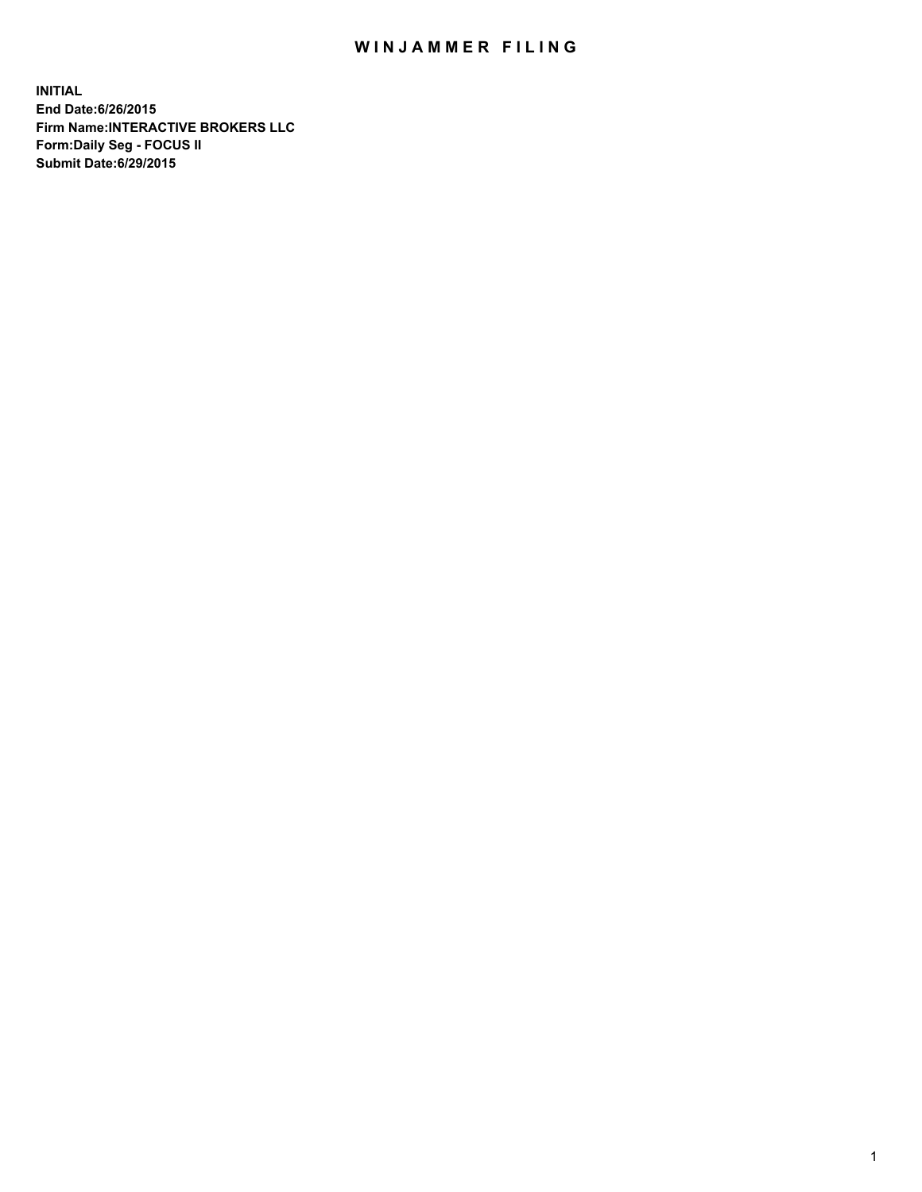## WIN JAMMER FILING

**INITIAL End Date:6/26/2015 Firm Name:INTERACTIVE BROKERS LLC Form:Daily Seg - FOCUS II Submit Date:6/29/2015**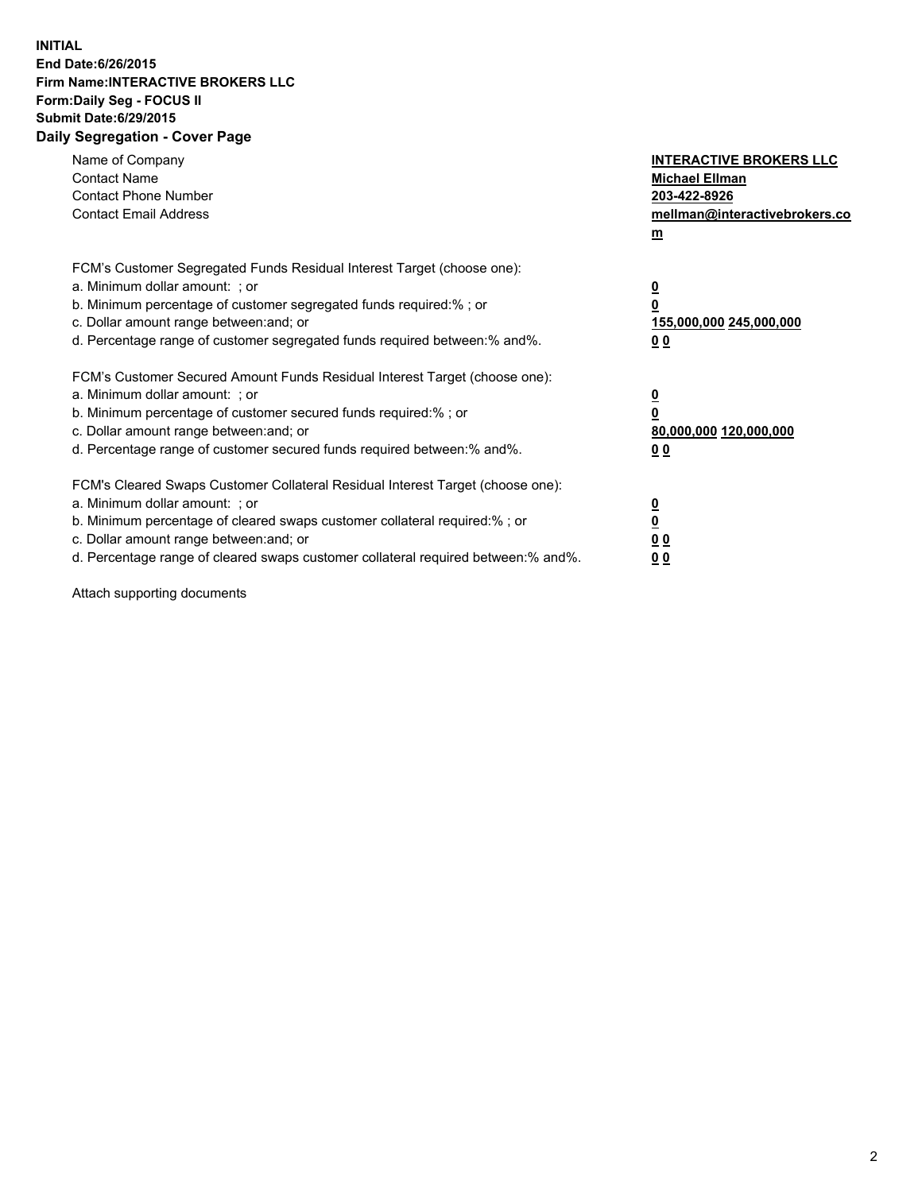## **INITIAL End Date:6/26/2015 Firm Name:INTERACTIVE BROKERS LLC Form:Daily Seg - FOCUS II Submit Date:6/29/2015 Daily Segregation - Cover Page**

| Name of Company<br><b>Contact Name</b><br><b>Contact Phone Number</b><br><b>Contact Email Address</b>                                                                                                                                                                                                                          | <b>INTERACTIVE BROKERS LLC</b><br><b>Michael Ellman</b><br>203-422-8926<br>mellman@interactivebrokers.co<br>$m$ |
|--------------------------------------------------------------------------------------------------------------------------------------------------------------------------------------------------------------------------------------------------------------------------------------------------------------------------------|-----------------------------------------------------------------------------------------------------------------|
| FCM's Customer Segregated Funds Residual Interest Target (choose one):<br>a. Minimum dollar amount: ; or<br>b. Minimum percentage of customer segregated funds required:% ; or<br>c. Dollar amount range between: and; or<br>d. Percentage range of customer segregated funds required between: % and %.                       | $\overline{\mathbf{0}}$<br>0<br>155,000,000 245,000,000<br>00                                                   |
| FCM's Customer Secured Amount Funds Residual Interest Target (choose one):<br>a. Minimum dollar amount: ; or<br>b. Minimum percentage of customer secured funds required:%; or<br>c. Dollar amount range between: and; or<br>d. Percentage range of customer secured funds required between: % and %.                          | $\overline{\mathbf{0}}$<br>0<br>80,000,000 120,000,000<br>0 <sub>0</sub>                                        |
| FCM's Cleared Swaps Customer Collateral Residual Interest Target (choose one):<br>a. Minimum dollar amount: ; or<br>b. Minimum percentage of cleared swaps customer collateral required:% ; or<br>c. Dollar amount range between: and; or<br>d. Percentage range of cleared swaps customer collateral required between:% and%. | $\overline{\mathbf{0}}$<br>$\underline{\mathbf{0}}$<br>0 <sub>0</sub><br>0 <sub>0</sub>                         |

Attach supporting documents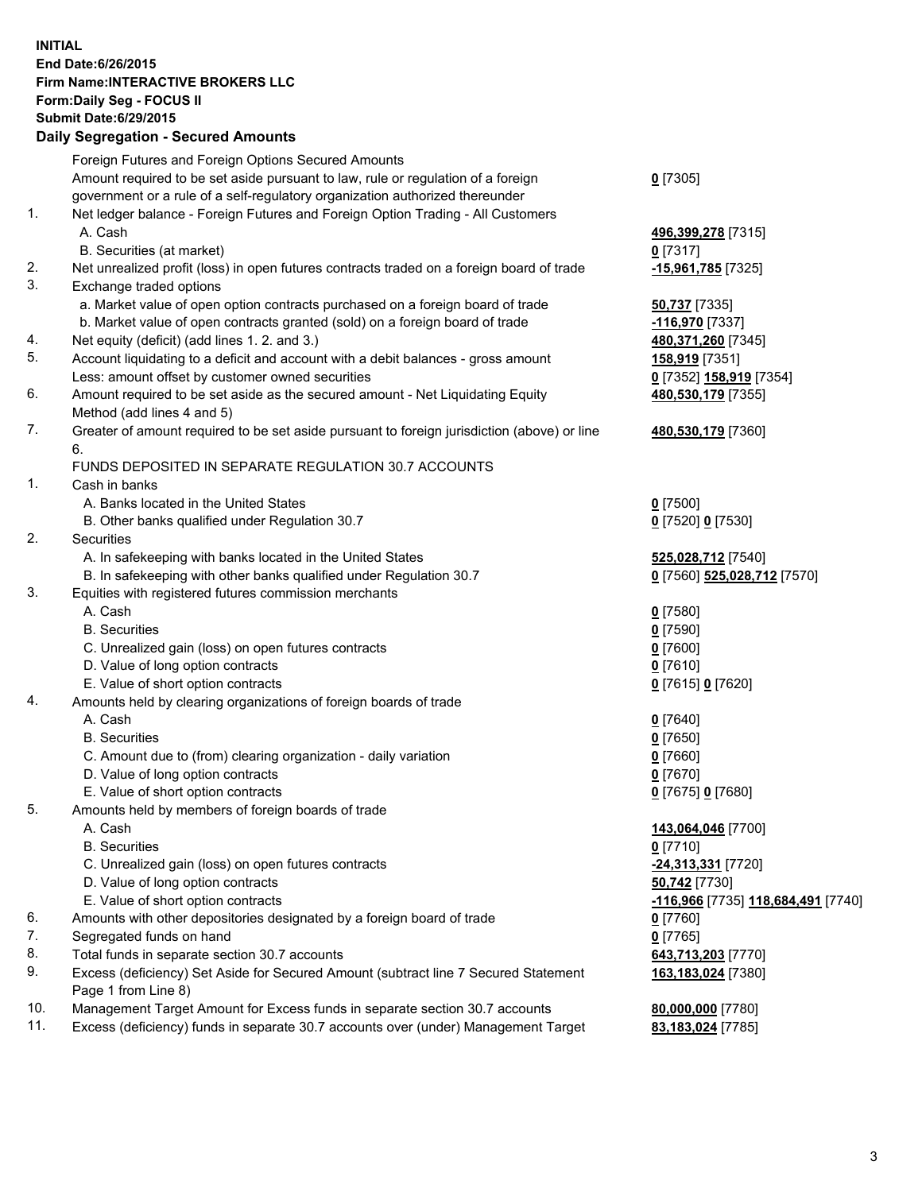## **INITIAL End Date:6/26/2015 Firm Name:INTERACTIVE BROKERS LLC Form:Daily Seg - FOCUS II Submit Date:6/29/2015 Daily Segregation - Secured Amounts**

|     | Dany Ocgregation - Oceanea Amounts                                                          |                                    |
|-----|---------------------------------------------------------------------------------------------|------------------------------------|
|     | Foreign Futures and Foreign Options Secured Amounts                                         |                                    |
|     | Amount required to be set aside pursuant to law, rule or regulation of a foreign            | $0$ [7305]                         |
|     | government or a rule of a self-regulatory organization authorized thereunder                |                                    |
| 1.  | Net ledger balance - Foreign Futures and Foreign Option Trading - All Customers             |                                    |
|     | A. Cash                                                                                     | 496,399,278 [7315]                 |
|     | B. Securities (at market)                                                                   | $0$ [7317]                         |
| 2.  | Net unrealized profit (loss) in open futures contracts traded on a foreign board of trade   | -15,961,785 [7325]                 |
| 3.  | Exchange traded options                                                                     |                                    |
|     | a. Market value of open option contracts purchased on a foreign board of trade              | 50,737 [7335]                      |
|     | b. Market value of open contracts granted (sold) on a foreign board of trade                | -116,970 [7337]                    |
| 4.  | Net equity (deficit) (add lines 1.2. and 3.)                                                | 480,371,260 [7345]                 |
| 5.  | Account liquidating to a deficit and account with a debit balances - gross amount           | <u>158,919</u> [7351]              |
|     | Less: amount offset by customer owned securities                                            | 0 [7352] 158,919 [7354]            |
| 6.  | Amount required to be set aside as the secured amount - Net Liquidating Equity              | 480,530,179 [7355]                 |
|     | Method (add lines 4 and 5)                                                                  |                                    |
| 7.  | Greater of amount required to be set aside pursuant to foreign jurisdiction (above) or line | 480,530,179 [7360]                 |
|     | 6.                                                                                          |                                    |
|     | FUNDS DEPOSITED IN SEPARATE REGULATION 30.7 ACCOUNTS                                        |                                    |
| 1.  | Cash in banks                                                                               |                                    |
|     | A. Banks located in the United States                                                       | $0$ [7500]                         |
|     | B. Other banks qualified under Regulation 30.7                                              | 0 [7520] 0 [7530]                  |
| 2.  | Securities                                                                                  |                                    |
|     | A. In safekeeping with banks located in the United States                                   | 525,028,712 [7540]                 |
|     | B. In safekeeping with other banks qualified under Regulation 30.7                          | 0 [7560] 525,028,712 [7570]        |
| 3.  | Equities with registered futures commission merchants                                       |                                    |
|     | A. Cash                                                                                     | $0$ [7580]                         |
|     | <b>B.</b> Securities                                                                        | <u>0</u> [7590]                    |
|     | C. Unrealized gain (loss) on open futures contracts                                         | $0$ [7600]                         |
|     | D. Value of long option contracts                                                           | $0$ [7610]                         |
|     | E. Value of short option contracts                                                          | 0 [7615] 0 [7620]                  |
| 4.  | Amounts held by clearing organizations of foreign boards of trade                           |                                    |
|     | A. Cash                                                                                     | $0$ [7640]                         |
|     | <b>B.</b> Securities                                                                        | $0$ [7650]                         |
|     | C. Amount due to (from) clearing organization - daily variation                             | $0$ [7660]                         |
|     | D. Value of long option contracts                                                           | $0$ [7670]                         |
| 5.  | E. Value of short option contracts                                                          | 0 [7675] 0 [7680]                  |
|     | Amounts held by members of foreign boards of trade<br>A. Cash                               |                                    |
|     | <b>B.</b> Securities                                                                        | 143,064,046 [7700]                 |
|     | C. Unrealized gain (loss) on open futures contracts                                         | $0$ [7710]<br>-24,313,331 [7720]   |
|     | D. Value of long option contracts                                                           | 50,742 [7730]                      |
|     | E. Value of short option contracts                                                          | -116,966 [7735] 118,684,491 [7740] |
| 6.  | Amounts with other depositories designated by a foreign board of trade                      | $0$ [7760]                         |
| 7.  | Segregated funds on hand                                                                    | $0$ [7765]                         |
| 8.  | Total funds in separate section 30.7 accounts                                               | 643,713,203 [7770]                 |
| 9.  | Excess (deficiency) Set Aside for Secured Amount (subtract line 7 Secured Statement         | 163,183,024 [7380]                 |
|     | Page 1 from Line 8)                                                                         |                                    |
| 10. | Management Target Amount for Excess funds in separate section 30.7 accounts                 | 80,000,000 [7780]                  |
| 11. | Excess (deficiency) funds in separate 30.7 accounts over (under) Management Target          | 83,183,024 [7785]                  |
|     |                                                                                             |                                    |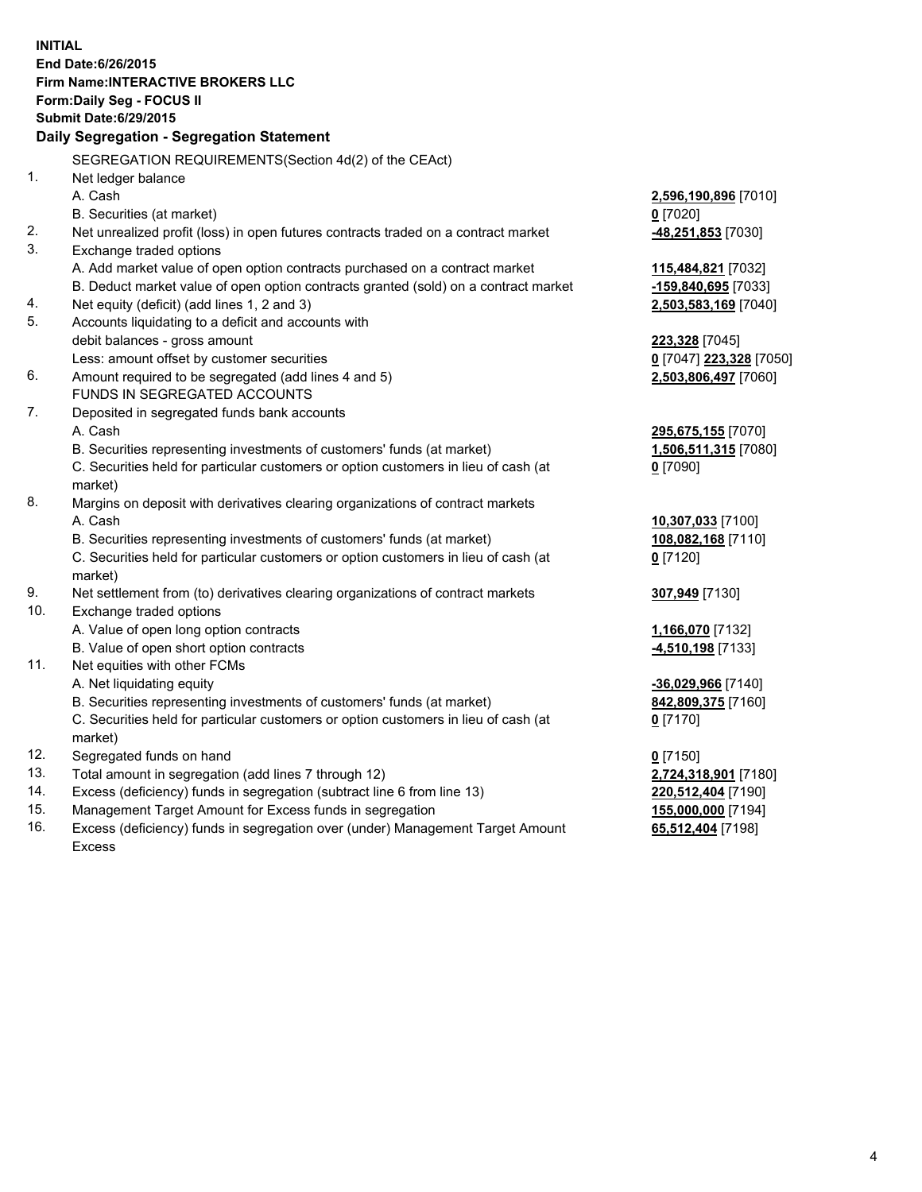**INITIAL End Date:6/26/2015 Firm Name:INTERACTIVE BROKERS LLC Form:Daily Seg - FOCUS II Submit Date:6/29/2015 Daily Segregation - Segregation Statement** SEGREGATION REQUIREMENTS(Section 4d(2) of the CEAct) 1. Net ledger balance A. Cash **2,596,190,896** [7010] B. Securities (at market) **0** [7020] 2. Net unrealized profit (loss) in open futures contracts traded on a contract market **-48,251,853** [7030] 3. Exchange traded options A. Add market value of open option contracts purchased on a contract market **115,484,821** [7032] B. Deduct market value of open option contracts granted (sold) on a contract market **-159,840,695** [7033] 4. Net equity (deficit) (add lines 1, 2 and 3) **2,503,583,169** [7040] 5. Accounts liquidating to a deficit and accounts with debit balances - gross amount **223,328** [7045] Less: amount offset by customer securities **0** [7047] **223,328** [7050] 6. Amount required to be segregated (add lines 4 and 5) **2,503,806,497** [7060] FUNDS IN SEGREGATED ACCOUNTS 7. Deposited in segregated funds bank accounts A. Cash **295,675,155** [7070] B. Securities representing investments of customers' funds (at market) **1,506,511,315** [7080] C. Securities held for particular customers or option customers in lieu of cash (at market) **0** [7090] 8. Margins on deposit with derivatives clearing organizations of contract markets A. Cash **10,307,033** [7100] B. Securities representing investments of customers' funds (at market) **108,082,168** [7110] C. Securities held for particular customers or option customers in lieu of cash (at market) **0** [7120] 9. Net settlement from (to) derivatives clearing organizations of contract markets **307,949** [7130] 10. Exchange traded options A. Value of open long option contracts **1,166,070** [7132] B. Value of open short option contracts **-4,510,198** [7133] 11. Net equities with other FCMs A. Net liquidating equity **-36,029,966** [7140] B. Securities representing investments of customers' funds (at market) **842,809,375** [7160] C. Securities held for particular customers or option customers in lieu of cash (at market) **0** [7170] 12. Segregated funds on hand **0** [7150] 13. Total amount in segregation (add lines 7 through 12) **2,724,318,901** [7180] 14. Excess (deficiency) funds in segregation (subtract line 6 from line 13) **220,512,404** [7190] 15. Management Target Amount for Excess funds in segregation **155,000,000** [7194]

16. Excess (deficiency) funds in segregation over (under) Management Target Amount Excess

**65,512,404** [7198]